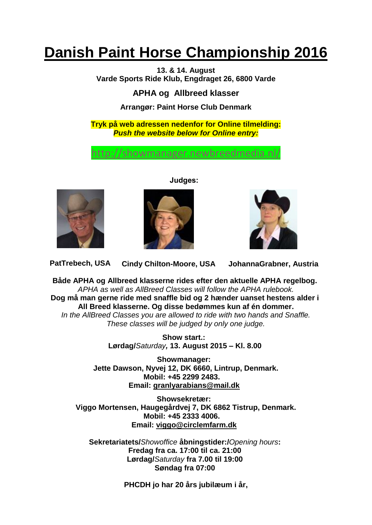# **Danish Paint Horse Championship 2016**

**13. & 14. August Varde Sports Ride Klub, Engdraget 26, 6800 Varde**

**APHA og Allbreed klasser**

# **Arrangør: Paint Horse Club Denmark**

**Tryk på web adressen nedenfor for Online tilmelding:** *Push the website below for Online entry:*

<http://showmanager.newbreedmedia.nl/>



**Judges:**





**PatTrebech, USA Cindy Chilton-Moore, USA JohannaGrabner, Austria**

**Både APHA og Allbreed klasserne rides efter den aktuelle APHA regelbog.** *APHA as well as AllBreed Classes will follow the APHA rulebook.* **Dog må man gerne ride med snaffle bid og 2 hænder uanset hestens alder i All Breed klasserne. Og disse bedømmes kun af én dommer.**

*In the AllBreed Classes you are allowed to ride with two hands and Snaffle. These classes will be judged by only one judge.*

> **Show start.: Lørdag/***Saturday,* **13. August 2015 – Kl. 8.00**

**Showmanager: Jette Dawson, Nyvej 12, DK 6660, Lintrup, Denmark. Mobil: +45 2299 2483. Email: granlyarabians@mail.dk**

**Showsekretær: Viggo Mortensen, Haugegårdvej 7, DK 6862 Tistrup, Denmark. Mobil: +45 2333 4006. Email: [viggo@circlemfarm.dk](mailto:viggo@circlemfarm.dk)**

**Sekretariatets/***Showoffice* **åbningstider:/***Opening hours***: Fredag fra ca. 17:00 til ca. 21:00 Lørdag/***Saturday* **fra 7.00 til 19:00 Søndag fra 07:00**

**PHCDH jo har 20 års jubilæum i år,**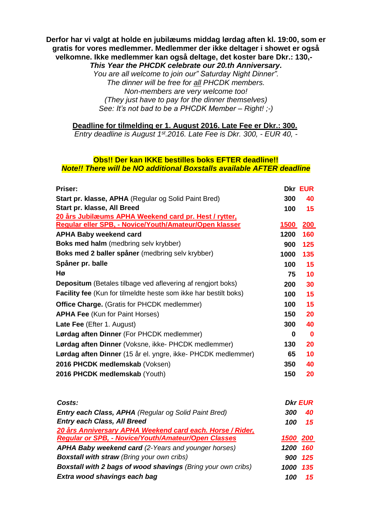## **Derfor har vi valgt at holde en jubilæums middag lørdag aften kl. 19:00, som er gratis for vores medlemmer. Medlemmer der ikke deltager i showet er også velkomne. Ikke medlemmer kan også deltage, det koster bare Dkr.: 130,-**

*This Year the PHCDK celebrate our 20.th Anniversary.*

*You are all welcome to join our" Saturday Night Dinner". The dinner will be free for all PHCDK members. Non-members are very welcome too! (They just have to pay for the dinner themselves) See: It's not bad to be a PHCDK Member – Right! ;-)*

**Deadline for tilmelding er 1. August 2016. Late Fee er Dkr.: 300.**

*Entry deadline is August 1st.2016. Late Fee is Dkr. 300, - EUR 40, -*

## **Obs!! Der kan IKKE bestilles boks EFTER deadline!!** *Note!! There will be NO additional Boxstalls available AFTER deadline*

| <b>Priser:</b>                                                          |            | <b>Dkr EUR</b> |
|-------------------------------------------------------------------------|------------|----------------|
| Start pr. klasse, APHA (Regular og Solid Paint Bred)                    | 300        | 40             |
| Start pr. klasse, All Breed                                             | 100        | 15             |
| 20 års Jubilæums APHA Weekend card pr. Hest / rytter,                   |            |                |
| Regular eller SPB, - Novice/Youth/Amateur/Open klasser                  | 1500       | <u>200</u>     |
| <b>APHA Baby weekend card</b>                                           | 1200       | 160            |
| <b>Boks med halm</b> (medbring selv krybber)                            | 900        | 125            |
| Boks med 2 baller spåner (medbring selv krybber)                        | 1000       | 135            |
| Spåner pr. balle                                                        | 100        | 15             |
| Hø                                                                      | 75         | 10             |
| <b>Depositum</b> (Betales tilbage ved aflevering af rengjort boks)      | <b>200</b> | 30             |
| <b>Facility fee</b> (Kun for tilmeldte heste som ikke har bestilt boks) | 100        | 15             |
| <b>Office Charge.</b> (Gratis for PHCDK medlemmer)                      | 100        | 15             |
| <b>APHA Fee (Kun for Paint Horses)</b>                                  | 150        | 20             |
| Late Fee (Efter 1. August)                                              | 300        | 40             |
| Lørdag aften Dinner (For PHCDK medlemmer)                               | 0          | 0              |
| Lørdag aften Dinner (Voksne, ikke- PHCDK medlemmer)                     | 130        | 20             |
| Lørdag aften Dinner (15 år el. yngre, ikke- PHCDK medlemmer)            | 65         | 10             |
| 2016 PHCDK medlemskab (Voksen)                                          | 350        | 40             |
| 2016 PHCDK medlemskab (Youth)                                           | 150        | 20             |
|                                                                         |            |                |
|                                                                         |            |                |

| Costs:                                                              |          | <b>Dkr EUR</b> |
|---------------------------------------------------------------------|----------|----------------|
| <b>Entry each Class, APHA (Regular og Solid Paint Bred)</b>         | 300      | 40             |
| <b>Entry each Class, All Breed</b>                                  | 100      | 15             |
| 20 års Anniversary APHA Weekend card each. Horse / Rider,           |          |                |
| <b>Regular or SPB, - Novice/Youth/Amateur/Open Classes</b>          | 1500 200 |                |
| <b>APHA Baby weekend card (2-Years and younger horses)</b>          | 1200     | 160            |
| <b>Boxstall with straw (Bring your own cribs)</b>                   | 900      | 125            |
| <b>Boxstall with 2 bags of wood shavings (Bring your own cribs)</b> | 1000     | 135            |
| Extra wood shavings each bag                                        | 100      | 15             |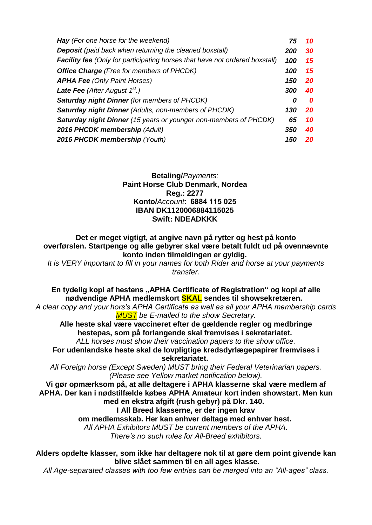| <b>Hay</b> (For one horse for the weekend)                                         | 75  | 10        |
|------------------------------------------------------------------------------------|-----|-----------|
| <b>Deposit</b> (paid back when returning the cleaned boxstall)                     | 200 | 30        |
| <b>Facility fee</b> (Only for participating horses that have not ordered boxstall) | 100 | 15        |
| <b>Office Charge</b> (Free for members of PHCDK)                                   | 100 | 15        |
| <b>APHA Fee (Only Paint Horses)</b>                                                | 150 | <b>20</b> |
| <b>Late Fee</b> (After August $1^{st}$ .)                                          | 300 | 40        |
| <b>Saturday night Dinner (for members of PHCDK)</b>                                | 0   | 0         |
| <b>Saturday night Dinner (Adults, non-members of PHCDK)</b>                        | 130 | <b>20</b> |
| Saturday night Dinner (15 years or younger non-members of PHCDK)                   | 65  | 10        |
| 2016 PHCDK membership (Adult)                                                      | 350 | 40        |
| 2016 PHCDK membership (Youth)                                                      | 150 | 20        |

## **Betaling/***Payments:* **Paint Horse Club Denmark, Nordea Reg.: 2277 Konto/***Account***:  6884 115 025 IBAN DK1120006884115025 Swift: NDEADKKK**

**Det er meget vigtigt, at angive navn på rytter og hest på konto overførslen. Startpenge og alle gebyrer skal være betalt fuldt ud på ovennævnte konto inden tilmeldingen er gyldig.**

*It is VERY important to fill in your names for both Rider and horse at your payments transfer.*

**En tydelig kopi af hestens "APHA Certificate of Registration" og kopi af alle nødvendige APHA medlemskort SKAL sendes til showsekretæren.**

*A clear copy and your hors's APHA Certificate as well as all your APHA membership cards MUST be E-mailed to the show Secretary.*

**Alle heste skal være vaccineret efter de gældende regler og medbringe hestepas, som på forlangende skal fremvises i sekretariatet***.*

*ALL horses must show their vaccination papers to the show office.* **For udenlandske heste skal de lovpligtige kredsdyrlægepapirer fremvises i** 

**sekretariatet.**

*All Foreign horse (Except Sweden) MUST bring their Federal Veterinarian papers. (Please see Yellow market notification below).*

**Vi gør opmærksom på, at alle deltagere i APHA klasserne skal være medlem af APHA. Der kan i nødstilfælde købes APHA Amateur kort inden showstart. Men kun med en ekstra afgift (rush gebyr) på Dkr. 140.**

**I All Breed klasserne, er der ingen krav** 

**om medlemsskab. Her kan enhver deltage med enhver hest.**

*All APHA Exhibitors MUST be current members of the APHA. There's no such rules for All-Breed exhibitors.*

**Alders opdelte klasser, som ikke har deltagere nok til at gøre dem point givende kan blive slået sammen til en all ages klasse.**

*All Age-separated classes with too few entries can be merged into an "All-ages" class.*